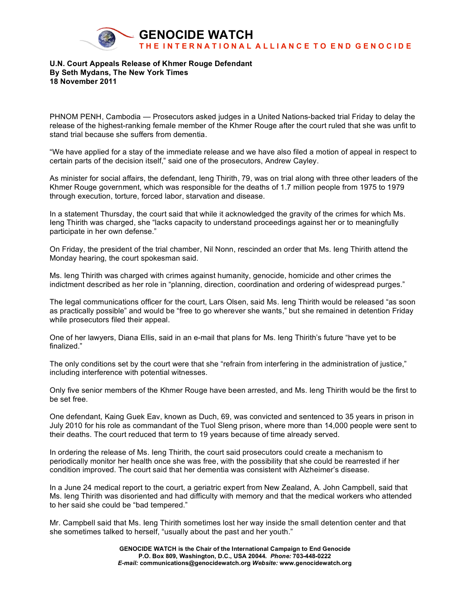

## **U.N. Court Appeals Release of Khmer Rouge Defendant By Seth Mydans, The New York Times 18 November 2011**

PHNOM PENH, Cambodia — Prosecutors asked judges in a United Nations-backed trial Friday to delay the release of the highest-ranking female member of the Khmer Rouge after the court ruled that she was unfit to stand trial because she suffers from dementia.

"We have applied for a stay of the immediate release and we have also filed a motion of appeal in respect to certain parts of the decision itself," said one of the prosecutors, Andrew Cayley.

As minister for social affairs, the defendant, Ieng Thirith, 79, was on trial along with three other leaders of the Khmer Rouge government, which was responsible for the deaths of 1.7 million people from 1975 to 1979 through execution, torture, forced labor, starvation and disease.

In a statement Thursday, the court said that while it acknowledged the gravity of the crimes for which Ms. Ieng Thirith was charged, she "lacks capacity to understand proceedings against her or to meaningfully participate in her own defense."

On Friday, the president of the trial chamber, Nil Nonn, rescinded an order that Ms. Ieng Thirith attend the Monday hearing, the court spokesman said.

Ms. Ieng Thirith was charged with crimes against humanity, genocide, homicide and other crimes the indictment described as her role in "planning, direction, coordination and ordering of widespread purges."

The legal communications officer for the court, Lars Olsen, said Ms. Ieng Thirith would be released "as soon as practically possible" and would be "free to go wherever she wants," but she remained in detention Friday while prosecutors filed their appeal.

One of her lawyers, Diana Ellis, said in an e-mail that plans for Ms. Ieng Thirith's future "have yet to be finalized."

The only conditions set by the court were that she "refrain from interfering in the administration of justice," including interference with potential witnesses.

Only five senior members of the Khmer Rouge have been arrested, and Ms. Ieng Thirith would be the first to be set free.

One defendant, Kaing Guek Eav, known as Duch, 69, was convicted and sentenced to 35 years in prison in July 2010 for his role as commandant of the Tuol Sleng prison, where more than 14,000 people were sent to their deaths. The court reduced that term to 19 years because of time already served.

In ordering the release of Ms. Ieng Thirith, the court said prosecutors could create a mechanism to periodically monitor her health once she was free, with the possibility that she could be rearrested if her condition improved. The court said that her dementia was consistent with Alzheimer's disease.

In a June 24 medical report to the court, a geriatric expert from New Zealand, A. John Campbell, said that Ms. Ieng Thirith was disoriented and had difficulty with memory and that the medical workers who attended to her said she could be "bad tempered."

Mr. Campbell said that Ms. Ieng Thirith sometimes lost her way inside the small detention center and that she sometimes talked to herself, "usually about the past and her youth."

> **GENOCIDE WATCH is the Chair of the International Campaign to End Genocide P.O. Box 809, Washington, D.C., USA 20044***. Phone:* **703-448-0222** *E-mail:* **communications@genocidewatch.org** *Website:* **www.genocidewatch.org**